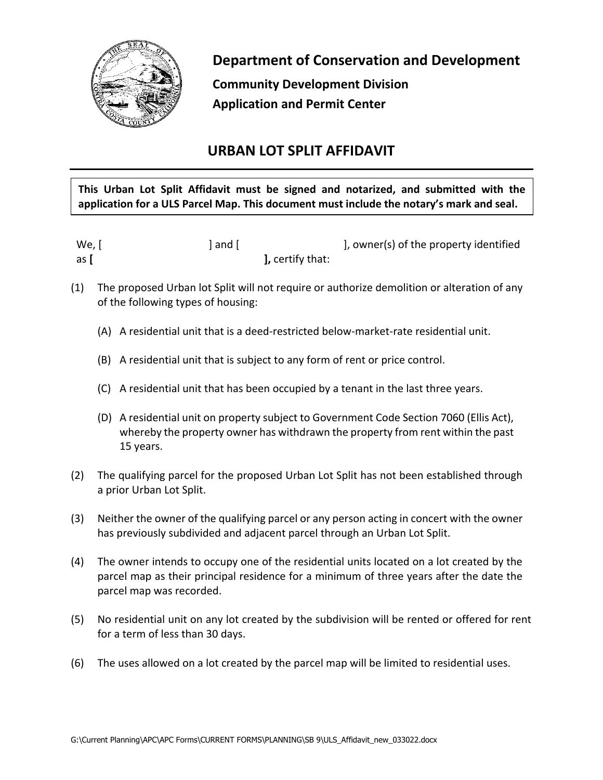

**Department of Conservation and Development**

**Community Development Division Application and Permit Center**

## **URBAN LOT SPLIT AFFIDAVIT**

**This Urban Lot Split Affidavit must be signed and notarized, and submitted with the application for a ULS Parcel Map. This document must include the notary's mark and seal.**

| We, [ | l and [                      | ], owner(s) of the property identified |
|-------|------------------------------|----------------------------------------|
| as l  | $\mathbf{l}$ , certify that: |                                        |

- (1) The proposed Urban lot Split will not require or authorize demolition or alteration of any of the following types of housing:
	- (A) A residential unit that is a deed-restricted below-market-rate residential unit.
	- (B) A residential unit that is subject to any form of rent or price control.
	- (C) A residential unit that has been occupied by a tenant in the last three years.
	- (D) A residential unit on property subject to Government Code Section 7060 (Ellis Act), whereby the property owner has withdrawn the property from rent within the past 15 years.
- (2) The qualifying parcel for the proposed Urban Lot Split has not been established through a prior Urban Lot Split.
- (3) Neither the owner of the qualifying parcel or any person acting in concert with the owner has previously subdivided and adjacent parcel through an Urban Lot Split.
- (4) The owner intends to occupy one of the residential units located on a lot created by the parcel map as their principal residence for a minimum of three years after the date the parcel map was recorded.
- (5) No residential unit on any lot created by the subdivision will be rented or offered for rent for a term of less than 30 days.
- (6) The uses allowed on a lot created by the parcel map will be limited to residential uses.